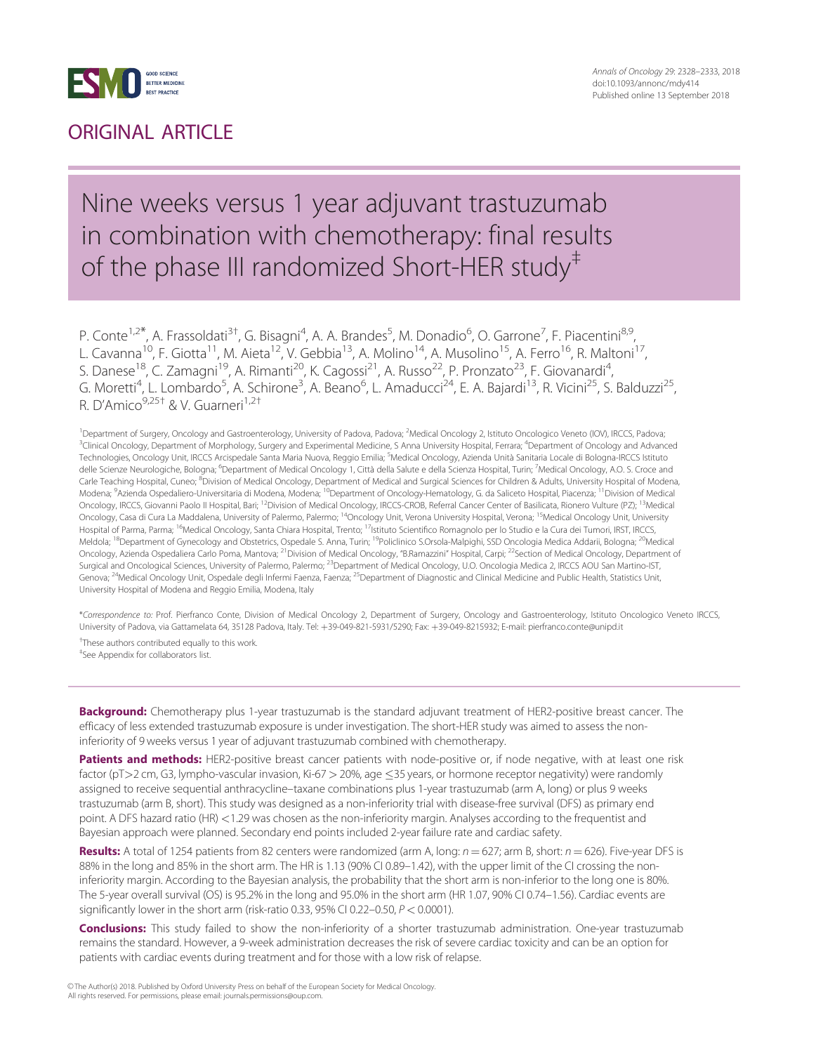

### ORIGINAL ARTICLE

### Nine weeks versus 1 year adjuvant trastuzumab in combination with chemotherapy: final results of the phase III randomized Short-HER study<sup>#</sup>

P. Conte<sup>1,2\*</sup>, A. Frassoldati<sup>3†</sup>, G. Bisagni<sup>4</sup>, A. A. Brandes<sup>5</sup>, M. Donadio<sup>6</sup>, O. Garrone<sup>7</sup>, F. Piacentini<sup>8,9</sup>, L. Cavanna<sup>10</sup>, F. Giotta<sup>11</sup>, M. Aieta<sup>12</sup>, V. Gebbia<sup>13</sup>, A. Molino<sup>14</sup>, A. Musolino<sup>15</sup>, A. Ferro<sup>16</sup>, R. Maltoni<sup>17</sup>, S. Danese<sup>18</sup>, C. Zamagni<sup>19</sup>, A. Rimanti<sup>20</sup>, K. Cagossi<sup>21</sup>, A. Russo<sup>22</sup>, P. Pronzato<sup>23</sup>, F. Giovanardi<sup>4</sup> , G. Moretti<sup>4</sup>, L. Lombardo<sup>5</sup>, A. Schirone<sup>3</sup>, A. Beano<sup>6</sup>, L. Amaducci<sup>24</sup>, E. A. Bajardi<sup>13</sup>, R. Vicini<sup>25</sup>, S. Balduzzi<sup>25</sup>, R. D'Amico<sup>9,25†</sup> & V. Guarneri<sup>1,2†</sup>

<sup>1</sup>Department of Surgery, Oncology and Gastroenterology, University of Padova, Padova; <sup>2</sup>Medical Oncology 2, Istituto Oncologico Veneto (IOV), IRCCS, Padova <sup>3</sup> Clinical Oncology, Department of Morphology, Surgery and Experimental Medicine, S Anna University Hospital, Ferrara; <sup>4</sup> Department of Oncology and Advanced Technologies, Oncology Unit, IRCCS Arcispedale Santa Maria Nuova, Reggio Emilia; <sup>5</sup>Medical Oncology, Azienda Unità Sanitaria Locale di Bologna-IRCCS Istitutc delle Scienze Neurologiche, Bologna; <sup>6</sup>Department of Medical Oncology 1, Città della Salute e della Scienza Hospital, Turin; <sup>7</sup>Medical Oncology, A.O. S. Croce and Carle Teaching Hospital, Cuneo; <sup>8</sup>Division of Medical Oncology, Department of Medical and Surgical Sciences for Children & Adults, University Hospital of Modena, Modena; <sup>9</sup>Azienda Ospedaliero-Universitaria di Modena, Modena; <sup>10</sup>Department of Oncology-Hematology, G. da Saliceto Hospital, Piacenza; <sup>11</sup>Division of Medical Oncology, IRCCS, Giovanni Paolo II Hospital, Bari; <sup>12</sup>Division of Medical Oncology, IRCCS-CROB, Referral Cancer Center of Basilicata, Rionero Vulture (PZ); <sup>13</sup>Medical Oncology, Casa di Cura La Maddalena, University of Palermo, Palermo; 14Oncology Unit, Verona University Hospital, Verona; 15Medical Oncology Unit, University Hospital of Parma, Parma; <sup>16</sup>Medical Oncology, Santa Chiara Hospital, Trento; <sup>17</sup>Istituto Scientifico Romagnolo per lo Studio e la Cura dei Tumori, IRST, IRCCS, Meldola; <sup>18</sup>Department of Gynecology and Obstetrics, Ospedale S. Anna, Turin; <sup>19</sup>Policlinico S.Orsola-Malpighi, SSD Oncologia Medica Addarii, Bologna; <sup>20</sup>Medical Oncology, Azienda Ospedaliera Carlo Poma, Mantova; <sup>21</sup>Division of Medical Oncology, "B.Ramazzini" Hospital, Carpi; <sup>22</sup>Section of Medical Oncology, Department of Surgical and Oncological Sciences, University of Palermo, Palermo; <sup>23</sup>Department of Medical Oncology, U.O. Oncologia Medica 2, IRCCS AOU San Martino-IST, Genova; <sup>24</sup>Medical Oncology Unit, Ospedale degli Infermi Faenza, Faenza; <sup>25</sup>Department of Diagnostic and Clinical Medicine and Public Health, Statistics Unit, University Hospital of Modena and Reggio Emilia, Modena, Italy

\*Correspondence to: Prof. Pierfranco Conte, Division of Medical Oncology 2, Department of Surgery, Oncology and Gastroenterology, Istituto Oncologico Veneto IRCCS, University of Padova, via Gattamelata 64, 35128 Padova, Italy. Tel: +39-049-821-5931/5290; Fax: +39-049-8215932; E-mail: pierfranco.conte@unipd.it

† These authors contributed equally to this work. ‡ See Appendix for collaborators list.

Background: Chemotherapy plus 1-year trastuzumab is the standard adjuvant treatment of HER2-positive breast cancer. The efficacy of less extended trastuzumab exposure is under investigation. The short-HER study was aimed to assess the noninferiority of 9 weeks versus 1 year of adjuvant trastuzumab combined with chemotherapy.

Patients and methods: HER2-positive breast cancer patients with node-positive or, if node negative, with at least one risk factor (pT>2 cm, G3, lympho-vascular invasion, Ki-67 > 20%, age ≤35 years, or hormone receptor negativity) were randomly assigned to receive sequential anthracycline–taxane combinations plus 1-year trastuzumab (arm A, long) or plus 9 weeks trastuzumab (arm B, short). This study was designed as a non-inferiority trial with disease-free survival (DFS) as primary end point. A DFS hazard ratio (HR) <1.29 was chosen as the non-inferiority margin. Analyses according to the frequentist and Bayesian approach were planned. Secondary end points included 2-year failure rate and cardiac safety.

Results: A total of 1254 patients from 82 centers were randomized (arm A, long:  $n = 627$ ; arm B, short:  $n = 626$ ). Five-year DFS is 88% in the long and 85% in the short arm. The HR is 1.13 (90% CI 0.89–1.42), with the upper limit of the CI crossing the noninferiority margin. According to the Bayesian analysis, the probability that the short arm is non-inferior to the long one is 80%. The 5-year overall survival (OS) is 95.2% in the long and 95.0% in the short arm (HR 1.07, 90% CI 0.74–1.56). Cardiac events are significantly lower in the short arm (risk-ratio 0.33, 95% CI 0.22-0.50,  $P < 0.0001$ ).

Conclusions: This study failed to show the non-inferiority of a shorter trastuzumab administration. One-year trastuzumab remains the standard. However, a 9-week administration decreases the risk of severe cardiac toxicity and can be an option for patients with cardiac events during treatment and for those with a low risk of relapse.

V<sup>C</sup> The Author(s) 2018. Published by Oxford University Press on behalf of the European Society for Medical Oncology. All rights reserved. For permissions, please email: journals.permissions@oup.com.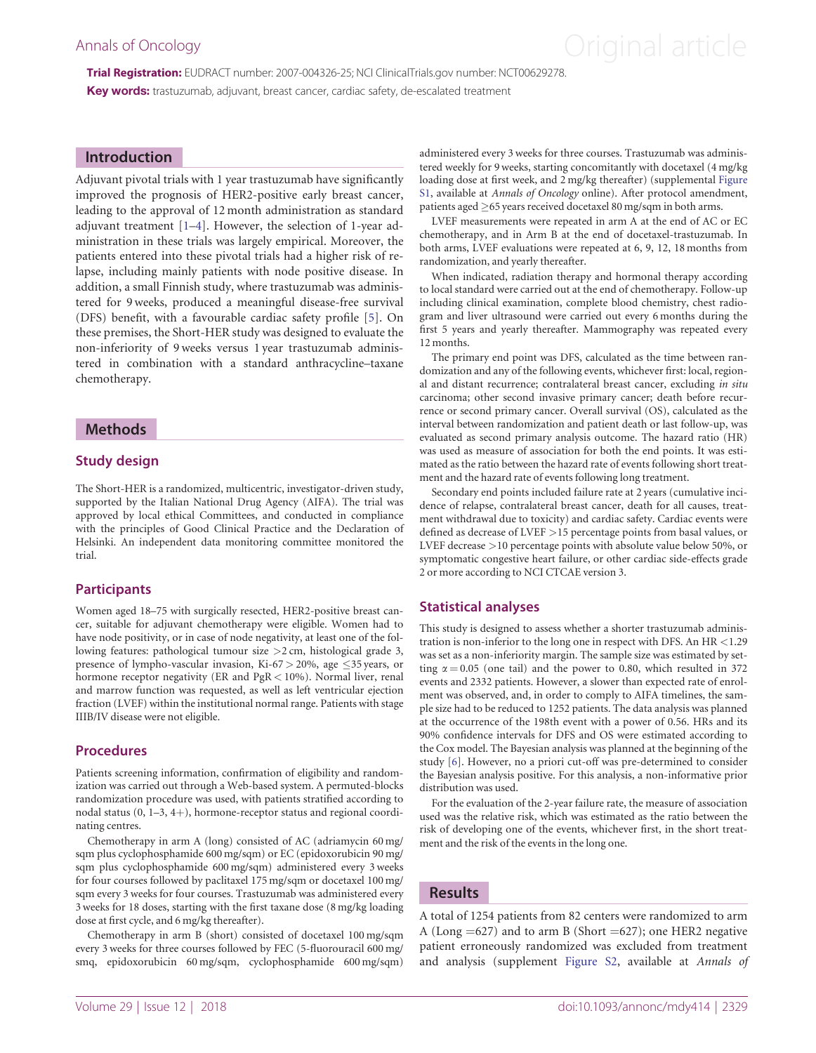# <span id="page-1-0"></span>Annals of Oncology **Annals of Oncology Annal article**

Trial Registration: EUDRACT number: 2007-004326-25; NCI ClinicalTrials.gov number: NCT00629278. Key words: trastuzumab, adjuvant, breast cancer, cardiac safety, de-escalated treatment

#### Introduction

Adjuvant pivotal trials with 1 year trastuzumab have significantly improved the prognosis of HER2-positive early breast cancer, leading to the approval of 12 month administration as standard adjuvant treatment [[1](#page-5-0)–[4](#page-5-0)]. However, the selection of 1-year administration in these trials was largely empirical. Moreover, the patients entered into these pivotal trials had a higher risk of relapse, including mainly patients with node positive disease. In addition, a small Finnish study, where trastuzumab was administered for 9 weeks, produced a meaningful disease-free survival (DFS) benefit, with a favourable cardiac safety profile [[5](#page-5-0)]. On these premises, the Short-HER study was designed to evaluate the non-inferiority of 9 weeks versus 1 year trastuzumab administered in combination with a standard anthracycline–taxane chemotherapy.

#### Methods

#### Study design

The Short-HER is a randomized, multicentric, investigator-driven study, supported by the Italian National Drug Agency (AIFA). The trial was approved by local ethical Committees, and conducted in compliance with the principles of Good Clinical Practice and the Declaration of Helsinki. An independent data monitoring committee monitored the trial.

#### **Participants**

Women aged 18–75 with surgically resected, HER2-positive breast cancer, suitable for adjuvant chemotherapy were eligible. Women had to have node positivity, or in case of node negativity, at least one of the following features: pathological tumour size >2 cm, histological grade 3, presence of lympho-vascular invasion, Ki-67  $>$  20%, age  $\leq$ 35 years, or hormone receptor negativity (ER and PgR < 10%). Normal liver, renal and marrow function was requested, as well as left ventricular ejection fraction (LVEF) within the institutional normal range. Patients with stage IIIB/IV disease were not eligible.

#### Procedures

Patients screening information, confirmation of eligibility and randomization was carried out through a Web-based system. A permuted-blocks randomization procedure was used, with patients stratified according to nodal status  $(0, 1-3, 4+)$ , hormone-receptor status and regional coordinating centres.

Chemotherapy in arm A (long) consisted of AC (adriamycin 60 mg/ sqm plus cyclophosphamide 600 mg/sqm) or EC (epidoxorubicin 90 mg/ sqm plus cyclophosphamide 600 mg/sqm) administered every 3 weeks for four courses followed by paclitaxel 175 mg/sqm or docetaxel 100 mg/ sqm every 3 weeks for four courses. Trastuzumab was administered every 3 weeks for 18 doses, starting with the first taxane dose (8 mg/kg loading dose at first cycle, and 6 mg/kg thereafter).

Chemotherapy in arm B (short) consisted of docetaxel 100 mg/sqm every 3 weeks for three courses followed by FEC (5-fluorouracil 600 mg/ smq, epidoxorubicin 60 mg/sqm, cyclophosphamide 600 mg/sqm) administered every 3 weeks for three courses. Trastuzumab was administered weekly for 9 weeks, starting concomitantly with docetaxel (4 mg/kg loading dose at first week, and 2 mg/kg thereafter) (supplemental [Figure](https://academic.oup.com/annonc/article-lookup/doi/10.1093/annonc/mdy414#supplementary-data) [S1](https://academic.oup.com/annonc/article-lookup/doi/10.1093/annonc/mdy414#supplementary-data), available at Annals of Oncology online). After protocol amendment, patients aged  $\geq$  65 years received docetaxel 80 mg/sqm in both arms.

LVEF measurements were repeated in arm A at the end of AC or EC chemotherapy, and in Arm B at the end of docetaxel-trastuzumab. In both arms, LVEF evaluations were repeated at 6, 9, 12, 18 months from randomization, and yearly thereafter.

When indicated, radiation therapy and hormonal therapy according to local standard were carried out at the end of chemotherapy. Follow-up including clinical examination, complete blood chemistry, chest radiogram and liver ultrasound were carried out every 6 months during the first 5 years and yearly thereafter. Mammography was repeated every 12 months.

The primary end point was DFS, calculated as the time between randomization and any of the following events, whichever first: local, regional and distant recurrence; contralateral breast cancer, excluding in situ carcinoma; other second invasive primary cancer; death before recurrence or second primary cancer. Overall survival (OS), calculated as the interval between randomization and patient death or last follow-up, was evaluated as second primary analysis outcome. The hazard ratio (HR) was used as measure of association for both the end points. It was estimated as the ratio between the hazard rate of events following short treatment and the hazard rate of events following long treatment.

Secondary end points included failure rate at 2 years (cumulative incidence of relapse, contralateral breast cancer, death for all causes, treatment withdrawal due to toxicity) and cardiac safety. Cardiac events were defined as decrease of LVEF >15 percentage points from basal values, or LVEF decrease >10 percentage points with absolute value below 50%, or symptomatic congestive heart failure, or other cardiac side-effects grade 2 or more according to NCI CTCAE version 3.

#### Statistical analyses

This study is designed to assess whether a shorter trastuzumab administration is non-inferior to the long one in respect with DFS. An HR <1.29 was set as a non-inferiority margin. The sample size was estimated by setting  $\alpha$  = 0.05 (one tail) and the power to 0.80, which resulted in 372 events and 2332 patients. However, a slower than expected rate of enrolment was observed, and, in order to comply to AIFA timelines, the sample size had to be reduced to 1252 patients. The data analysis was planned at the occurrence of the 198th event with a power of 0.56. HRs and its 90% confidence intervals for DFS and OS were estimated according to the Cox model. The Bayesian analysis was planned at the beginning of the study [\[6](#page-5-0)]. However, no a priori cut-off was pre-determined to consider the Bayesian analysis positive. For this analysis, a non-informative prior distribution was used.

For the evaluation of the 2-year failure rate, the measure of association used was the relative risk, which was estimated as the ratio between the risk of developing one of the events, whichever first, in the short treatment and the risk of the events in the long one.

#### Results

A total of 1254 patients from 82 centers were randomized to arm A (Long  $=627$ ) and to arm B (Short  $=627$ ); one HER2 negative patient erroneously randomized was excluded from treatment and analysis (supplement [Figure S2](https://academic.oup.com/annonc/article-lookup/doi/10.1093/annonc/mdy414#supplementary-data), available at Annals of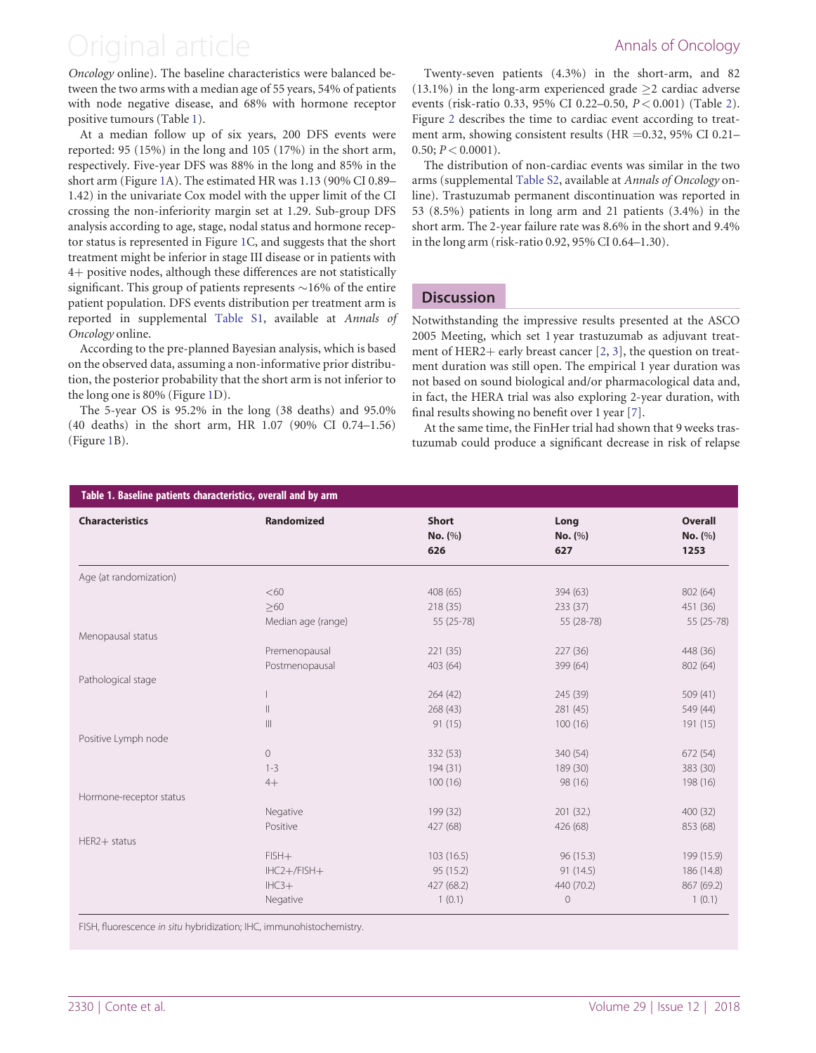### <span id="page-2-0"></span>Original article **Annals of Oncology**

Oncology online). The baseline characteristics were balanced between the two arms with a median age of 55 years, 54% of patients with node negative disease, and 68% with hormone receptor positive tumours (Table 1).

At a median follow up of six years, 200 DFS events were reported: 95 (15%) in the long and 105 (17%) in the short arm, respectively. Five-year DFS was 88% in the long and 85% in the short arm (Figure [1](#page-3-0)A). The estimated HR was 1.13 (90% CI 0.89– 1.42) in the univariate Cox model with the upper limit of the CI crossing the non-inferiority margin set at 1.29. Sub-group DFS analysis according to age, stage, nodal status and hormone receptor status is represented in Figure [1](#page-3-0)C, and suggests that the short treatment might be inferior in stage III disease or in patients with 4+ positive nodes, although these differences are not statistically significant. This group of patients represents  $\sim$ 16% of the entire patient population. DFS events distribution per treatment arm is reported in supplemental [Table S1,](https://academic.oup.com/annonc/article-lookup/doi/10.1093/annonc/mdy414#supplementary-data) available at Annals of Oncology online.

According to the pre-planned Bayesian analysis, which is based on the observed data, assuming a non-informative prior distribution, the posterior probability that the short arm is not inferior to the long one is 80% (Figure [1](#page-3-0)D).

The 5-year OS is 95.2% in the long (38 deaths) and 95.0% (40 deaths) in the short arm, HR 1.07 (90% CI 0.74–1.56) (Figure [1](#page-3-0)B).

Twenty-seven patients (4.3%) in the short-arm, and 82 (13.1%) in the long-arm experienced grade  $\geq$  2 cardiac adverse events (risk-ratio 0.33, 95% CI 0.22-0.50,  $P < 0.001$ ) (Table [2\)](#page-3-0). Figure [2](#page-4-0) describes the time to cardiac event according to treatment arm, showing consistent results (HR = $0.32$ , 95% CI 0.21–  $0.50; P < 0.0001$ ).

The distribution of non-cardiac events was similar in the two arms (supplemental [Table S2,](https://academic.oup.com/annonc/article-lookup/doi/10.1093/annonc/mdy414#supplementary-data) available at Annals of Oncology online). Trastuzumab permanent discontinuation was reported in 53 (8.5%) patients in long arm and 21 patients (3.4%) in the short arm. The 2-year failure rate was 8.6% in the short and 9.4% in the long arm (risk-ratio 0.92, 95% CI 0.64–1.30).

#### **Discussion**

Notwithstanding the impressive results presented at the ASCO 2005 Meeting, which set 1 year trastuzumab as adjuvant treat-ment of HER[2](#page-5-0)+ early breast cancer  $[2, 3]$  $[2, 3]$  $[2, 3]$ , the question on treatment duration was still open. The empirical 1 year duration was not based on sound biological and/or pharmacological data and, in fact, the HERA trial was also exploring 2-year duration, with final results showing no benefit over 1 year [\[7\]](#page-5-0).

At the same time, the FinHer trial had shown that 9 weeks trastuzumab could produce a significant decrease in risk of relapse

| <b>Characteristics</b>  | Randomized                            | <b>Short</b><br>No. (%)<br>626 | Long<br>No. (%)<br>627 | <b>Overall</b><br>No. (%)<br>1253 |
|-------------------------|---------------------------------------|--------------------------------|------------------------|-----------------------------------|
| Age (at randomization)  |                                       |                                |                        |                                   |
|                         | <60                                   | 408 (65)                       | 394 (63)               | 802 (64)                          |
|                         | $>60$                                 | 218(35)                        | 233(37)                | 451 (36)                          |
|                         | Median age (range)                    | $55(25-78)$                    | 55 (28-78)             | 55 (25-78)                        |
| Menopausal status       |                                       |                                |                        |                                   |
|                         | Premenopausal                         | 221(35)                        | 227(36)                | 448 (36)                          |
|                         | Postmenopausal                        | 403 (64)                       | 399 (64)               | 802 (64)                          |
| Pathological stage      |                                       |                                |                        |                                   |
|                         |                                       | 264(42)                        | 245 (39)               | 509(41)                           |
|                         | $\mathbb{H}$                          | 268(43)                        | 281(45)                | 549 (44)                          |
|                         | $\begin{array}{c} \hline \end{array}$ | 91(15)                         | 100(16)                | 191 (15)                          |
| Positive Lymph node     |                                       |                                |                        |                                   |
|                         | $\circ$                               | 332 (53)                       | 340 (54)               | 672 (54)                          |
|                         | $1 - 3$                               | 194 (31)                       | 189 (30)               | 383 (30)                          |
|                         | $4+$                                  | 100(16)                        | 98 (16)                | 198 (16)                          |
| Hormone-receptor status |                                       |                                |                        |                                   |
|                         | Negative                              | 199 (32)                       | 201(32)                | 400(32)                           |
|                         | Positive                              | 427 (68)                       | 426 (68)               | 853 (68)                          |
| HER2+ status            |                                       |                                |                        |                                   |
|                         | $FISH+$                               | 103 (16.5)                     | 96 (15.3)              | 199 (15.9)                        |
|                         | $IHC2+/FISH+$                         | 95 (15.2)                      | 91(14.5)               | 186 (14.8)                        |
|                         | $IHC3+$                               | 427 (68.2)                     | 440 (70.2)             | 867 (69.2)                        |
|                         | Negative                              | 1(0.1)                         | $\mathbf 0$            | 1(0.1)                            |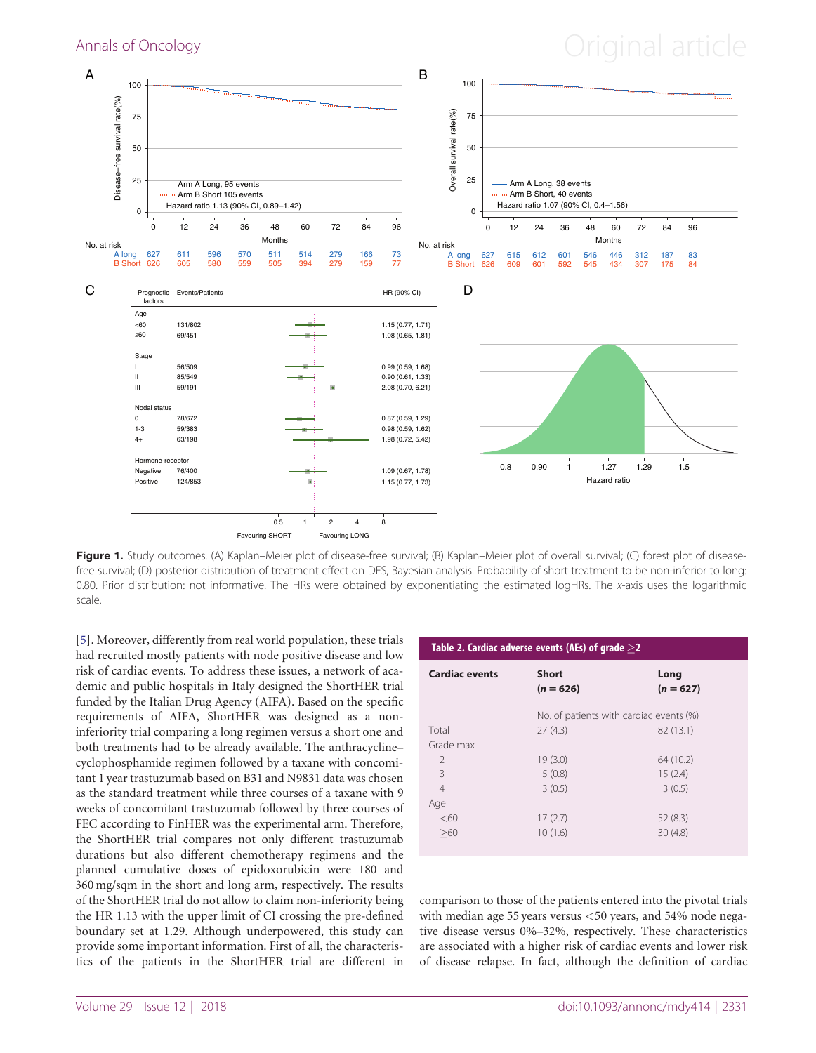## <span id="page-3-0"></span>Annals of Oncology **Annals of Oncology Annal article**



Figure 1. Study outcomes. (A) Kaplan–Meier plot of disease-free survival; (B) Kaplan–Meier plot of overall survival; (C) forest plot of diseasefree survival; (D) posterior distribution of treatment effect on DFS, Bayesian analysis. Probability of short treatment to be non-inferior to long: 0.80. Prior distribution: not informative. The HRs were obtained by exponentiating the estimated logHRs. The x-axis uses the logarithmic scale.

[\[5\]](#page-5-0). Moreover, differently from real world population, these trials had recruited mostly patients with node positive disease and low risk of cardiac events. To address these issues, a network of academic and public hospitals in Italy designed the ShortHER trial funded by the Italian Drug Agency (AIFA). Based on the specific requirements of AIFA, ShortHER was designed as a noninferiority trial comparing a long regimen versus a short one and both treatments had to be already available. The anthracycline– cyclophosphamide regimen followed by a taxane with concomitant 1 year trastuzumab based on B31 and N9831 data was chosen as the standard treatment while three courses of a taxane with 9 weeks of concomitant trastuzumab followed by three courses of FEC according to FinHER was the experimental arm. Therefore, the ShortHER trial compares not only different trastuzumab durations but also different chemotherapy regimens and the planned cumulative doses of epidoxorubicin were 180 and 360 mg/sqm in the short and long arm, respectively. The results of the ShortHER trial do not allow to claim non-inferiority being the HR 1.13 with the upper limit of CI crossing the pre-defined boundary set at 1.29. Although underpowered, this study can provide some important information. First of all, the characteristics of the patients in the ShortHER trial are different in

| Table 2. Cardiac adverse events (AEs) of grade $\geq$ 2 |                                         |                     |  |  |
|---------------------------------------------------------|-----------------------------------------|---------------------|--|--|
| <b>Cardiac events</b>                                   | <b>Short</b><br>$(n = 626)$             | Long<br>$(n = 627)$ |  |  |
|                                                         | No. of patients with cardiac events (%) |                     |  |  |
| Total                                                   | 27(4,3)                                 | 82 (13.1)           |  |  |
| Grade max                                               |                                         |                     |  |  |
| $\mathcal{P}$                                           | 19(3.0)                                 | 64 (10.2)           |  |  |
| 3                                                       | 5(0.8)                                  | 15(2.4)             |  |  |
| $\overline{4}$                                          | 3(0.5)                                  | 3(0.5)              |  |  |
| Age                                                     |                                         |                     |  |  |
| < 60                                                    | 17(2.7)                                 | 52(8.3)             |  |  |
| >60                                                     | 10(1.6)                                 | 30(4.8)             |  |  |

comparison to those of the patients entered into the pivotal trials with median age 55 years versus <50 years, and 54% node negative disease versus 0%–32%, respectively. These characteristics are associated with a higher risk of cardiac events and lower risk of disease relapse. In fact, although the definition of cardiac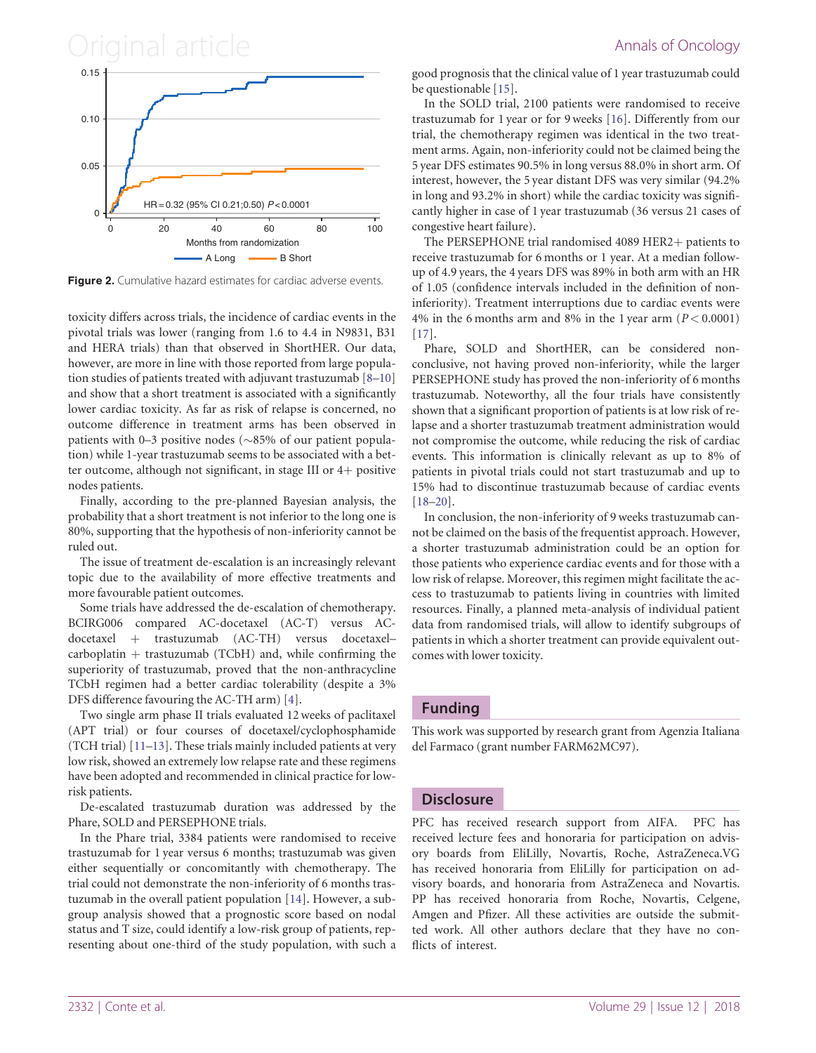### <span id="page-4-0"></span>Original article **Annals of Oncology**



Figure 2. Cumulative hazard estimates for cardiac adverse events.

toxicity differs across trials, the incidence of cardiac events in the pivotal trials was lower (ranging from 1.6 to 4.4 in N9831, B31 and HERA trials) than that observed in ShortHER. Our data, however, are more in line with those reported from large population studies of patients treated with adjuvant trastuzumab [\[8–10\]](#page-5-0) and show that a short treatment is associated with a significantly lower cardiac toxicity. As far as risk of relapse is concerned, no outcome difference in treatment arms has been observed in patients with 0–3 positive nodes ( $\sim$ 85% of our patient population) while 1-year trastuzumab seems to be associated with a better outcome, although not significant, in stage III or  $4+$  positive nodes patients.

Finally, according to the pre-planned Bayesian analysis, the probability that a short treatment is not inferior to the long one is 80%, supporting that the hypothesis of non-inferiority cannot be ruled out.

The issue of treatment de-escalation is an increasingly relevant topic due to the availability of more effective treatments and more favourable patient outcomes.

Some trials have addressed the de-escalation of chemotherapy. BCIRG006 compared AC-docetaxel (AC-T) versus ACdocetaxel + trastuzumab (AC-TH) versus docetaxel $carboplation + trastuzumab$  (TCbH) and, while confirming the superiority of trastuzumab, proved that the non-anthracycline TCbH regimen had a better cardiac tolerability (despite a 3% DFS difference favouring the AC-TH arm) [\[4\]](#page-5-0).

Two single arm phase II trials evaluated 12 weeks of paclitaxel (APT trial) or four courses of docetaxel/cyclophosphamide (TCH trial) [[11–13\]](#page-5-0). These trials mainly included patients at very low risk, showed an extremely low relapse rate and these regimens have been adopted and recommended in clinical practice for lowrisk patients.

De-escalated trastuzumab duration was addressed by the Phare, SOLD and PERSEPHONE trials.

In the Phare trial, 3384 patients were randomised to receive trastuzumab for 1 year versus 6 months; trastuzumab was given either sequentially or concomitantly with chemotherapy. The trial could not demonstrate the non-inferiority of 6 months trastuzumab in the overall patient population [\[14\]](#page-5-0). However, a subgroup analysis showed that a prognostic score based on nodal status and T size, could identify a low-risk group of patients, representing about one-third of the study population, with such a good prognosis that the clinical value of 1 year trastuzumab could be questionable [[15\]](#page-5-0).

In the SOLD trial, 2100 patients were randomised to receive trastuzumab for 1 year or for 9 weeks [[16\]](#page-5-0). Differently from our trial, the chemotherapy regimen was identical in the two treatment arms. Again, non-inferiority could not be claimed being the 5 year DFS estimates 90.5% in long versus 88.0% in short arm. Of interest, however, the 5 year distant DFS was very similar (94.2% in long and 93.2% in short) while the cardiac toxicity was significantly higher in case of 1 year trastuzumab (36 versus 21 cases of congestive heart failure).

The PERSEPHONE trial randomised 4089 HER2+ patients to receive trastuzumab for 6 months or 1 year. At a median followup of 4.9 years, the 4 years DFS was 89% in both arm with an HR of 1.05 (confidence intervals included in the definition of noninferiority). Treatment interruptions due to cardiac events were 4% in the 6 months arm and 8% in the 1 year arm  $(P < 0.0001)$ [[17](#page-5-0)].

Phare, SOLD and ShortHER, can be considered nonconclusive, not having proved non-inferiority, while the larger PERSEPHONE study has proved the non-inferiority of 6 months trastuzumab. Noteworthy, all the four trials have consistently shown that a significant proportion of patients is at low risk of relapse and a shorter trastuzumab treatment administration would not compromise the outcome, while reducing the risk of cardiac events. This information is clinically relevant as up to 8% of patients in pivotal trials could not start trastuzumab and up to 15% had to discontinue trastuzumab because of cardiac events [[18](#page-5-0)–[20\]](#page-5-0).

In conclusion, the non-inferiority of 9 weeks trastuzumab cannot be claimed on the basis of the frequentist approach. However, a shorter trastuzumab administration could be an option for those patients who experience cardiac events and for those with a low risk of relapse. Moreover, this regimen might facilitate the access to trastuzumab to patients living in countries with limited resources. Finally, a planned meta-analysis of individual patient data from randomised trials, will allow to identify subgroups of patients in which a shorter treatment can provide equivalent outcomes with lower toxicity.

### Funding

This work was supported by research grant from Agenzia Italiana del Farmaco (grant number FARM62MC97).

#### **Disclosure**

PFC has received research support from AIFA. PFC has received lecture fees and honoraria for participation on advisory boards from EliLilly, Novartis, Roche, AstraZeneca.VG has received honoraria from EliLilly for participation on advisory boards, and honoraria from AstraZeneca and Novartis. PP has received honoraria from Roche, Novartis, Celgene, Amgen and Pfizer. All these activities are outside the submitted work. All other authors declare that they have no conflicts of interest.